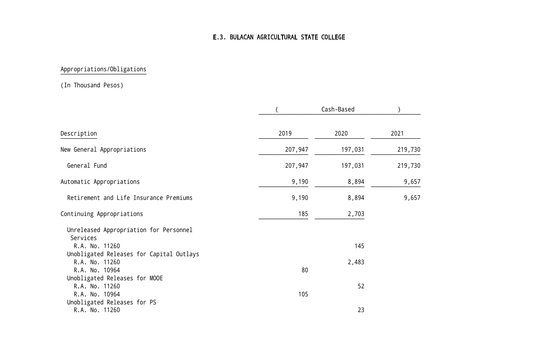# E.3. BULACAN AGRICULTURAL STATE COLLEGE

# Appropriations/Obligations

#### (In Thousand Pesos)

|                                                                              |         | Cash-Based |         |
|------------------------------------------------------------------------------|---------|------------|---------|
| Description                                                                  | 2019    | 2020       | 2021    |
| New General Appropriations                                                   | 207,947 | 197,031    | 219,730 |
| General Fund                                                                 | 207,947 | 197,031    | 219,730 |
| Automatic Appropriations                                                     | 9,190   | 8,894      | 9,657   |
| Retirement and Life Insurance Premiums                                       | 9,190   | 8,894      | 9,657   |
| Continuing Appropriations                                                    | 185     | 2,703      |         |
| Unreleased Appropriation for Personnel                                       |         |            |         |
| Services<br>R.A. No. 11260                                                   |         | 145        |         |
| Unobligated Releases for Capital Outlays<br>R.A. No. 11260<br>R.A. No. 10964 | 80      | 2,483      |         |
| Unobligated Releases for MOOE                                                |         |            |         |
| R.A. No. 11260<br>R.A. No. 10964                                             | 105     | 52         |         |
| Unobligated Releases for PS<br>R.A. No. 11260                                |         | 23         |         |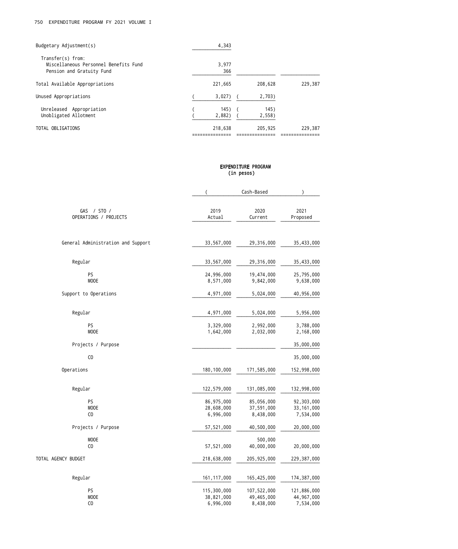| Budgetary Adjustment(s)                                                                 | 4,343          |                |         |
|-----------------------------------------------------------------------------------------|----------------|----------------|---------|
| Transfer(s) from:<br>Miscellaneous Personnel Benefits Fund<br>Pension and Gratuity Fund | 3.977<br>366   |                |         |
| Total Available Appropriations                                                          | 221,665        | 208,628        | 229,387 |
| Unused Appropriations                                                                   | 3,027)         | 2,703)         |         |
| Unreleased Appropriation<br>Unobligated Allotment                                       | 145)<br>2,882) | 145)<br>2,558) |         |
| TOTAL OBLIGATIONS                                                                       | 218,638        | 205,925        | 229,387 |

#### EXPENDITURE PROGRAM (in pesos)

|                                    | $\overline{(}$           | Cash-Based               | $\mathcal{E}$              |
|------------------------------------|--------------------------|--------------------------|----------------------------|
|                                    |                          |                          |                            |
| GAS / STO /                        | 2019                     | 2020                     | 2021                       |
| OPERATIONS / PROJECTS              | Actual                   | Current                  | Proposed                   |
|                                    |                          |                          |                            |
| General Administration and Support | 33,567,000               | 29,316,000               | 35,433,000                 |
| Regular                            | 33,567,000               | 29,316,000               | 35,433,000                 |
| PS                                 | 24,996,000               | 19,474,000               | 25,795,000                 |
| <b>MOOE</b>                        | 8,571,000                | 9,842,000                | 9,638,000                  |
| Support to Operations              | 4,971,000                | 5,024,000                | 40,956,000                 |
| Regular                            | 4,971,000                | 5,024,000                | 5,956,000                  |
|                                    |                          |                          |                            |
| PS                                 | 3,329,000                | 2,992,000                | 3,788,000                  |
| <b>MOOE</b>                        | 1,642,000                | 2,032,000                | 2,168,000                  |
| Projects / Purpose                 |                          |                          | 35,000,000                 |
| CO                                 |                          |                          | 35,000,000                 |
| Operations                         | 180,100,000              | 171,585,000              | 152,998,000                |
| Regular                            | 122,579,000              | 131,085,000              | 132,998,000                |
| PS                                 |                          |                          |                            |
| <b>MOOE</b>                        | 86,975,000<br>28,608,000 | 85,056,000<br>37,591,000 | 92,303,000<br>33, 161, 000 |
| CO                                 | 6,996,000                | 8,438,000                | 7,534,000                  |
| Projects / Purpose                 | 57,521,000               | 40,500,000               | 20,000,000                 |
| MOOE                               |                          | 500,000                  |                            |
| C <sub>0</sub>                     | 57,521,000               | 40,000,000               | 20,000,000                 |
| TOTAL AGENCY BUDGET                | 218,638,000              | 205,925,000              | 229,387,000                |
| Regular                            | 161, 117, 000            | 165,425,000              | 174,387,000                |
| PS                                 | 115,300,000              | 107,522,000              | 121,886,000                |
| MOOE                               | 38,821,000               | 49,465,000               | 44,967,000                 |
| CO                                 | 6,996,000                | 8,438,000                | 7,534,000                  |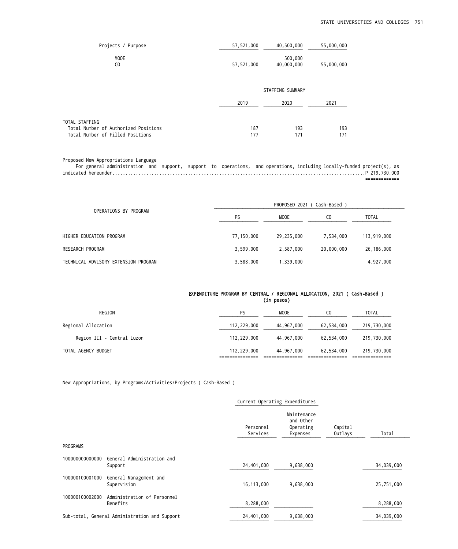| Projects / Purpose                                     | 57,521,000 | 40,500,000            | 55,000,000 |  |
|--------------------------------------------------------|------------|-----------------------|------------|--|
| <b>MOOE</b><br>C <sub>0</sub>                          | 57,521,000 | 500,000<br>40,000,000 | 55,000,000 |  |
|                                                        |            | STAFFING SUMMARY      |            |  |
|                                                        | 2019       | 2020                  | 2021       |  |
| TOTAL STAFFING<br>Total Number of Authorized Positions | 187        | 193                   | 193        |  |
| Total Number of Filled Positions                       | 177        | 171                   | 171        |  |

Proposed New Appropriations Language

 For general administration and support, support to operations, and operations, including locally-funded project(s), as indicated hereunder.................................................................................................P 219,730,000 =============

| OPERATIONS BY PROGRAM                | PROPOSED 2021 ( Cash-Based ) |            |            |              |  |
|--------------------------------------|------------------------------|------------|------------|--------------|--|
|                                      | PS                           | MOOE       | CO         | <b>TOTAL</b> |  |
| HIGHER EDUCATION PROGRAM             | 77,150,000                   | 29,235,000 | 7,534,000  | 113,919,000  |  |
| RESEARCH PROGRAM                     | 3,599,000                    | 2,587,000  | 20,000,000 | 26,186,000   |  |
| TECHNICAL ADVISORY EXTENSION PROGRAM | 3,588,000                    | 1,339,000  |            | 4,927,000    |  |

#### EXPENDITURE PROGRAM BY CENTRAL / REGIONAL ALLOCATION, 2021 ( Cash-Based ) (in pesos)

| REGION                     | PS          | MOOE       | CO         | <b>TOTAL</b> |
|----------------------------|-------------|------------|------------|--------------|
| Regional Allocation        | 112,229,000 | 44,967,000 | 62,534,000 | 219,730,000  |
| Region III - Central Luzon | 112,229,000 | 44,967,000 | 62,534,000 | 219,730,000  |
| TOTAL AGENCY BUDGET        | 112,229,000 | 44,967,000 | 62,534,000 | 219,730,000  |
|                            |             |            |            |              |

New Appropriations, by Programs/Activities/Projects ( Cash-Based )

|                 |                                               | Current Operating Expenditures |                                                   |                    |            |
|-----------------|-----------------------------------------------|--------------------------------|---------------------------------------------------|--------------------|------------|
|                 |                                               | Personnel<br>Services          | Maintenance<br>and Other<br>Operating<br>Expenses | Capital<br>Outlays | Total      |
| PROGRAMS        |                                               |                                |                                                   |                    |            |
| 100000000000000 | General Administration and<br>Support         | 24,401,000                     | 9,638,000                                         |                    | 34,039,000 |
| 100000100001000 | General Management and<br>Supervision         | 16, 113, 000                   | 9,638,000                                         |                    | 25,751,000 |
| 100000100002000 | Administration of Personnel<br>Benefits       | 8,288,000                      |                                                   |                    | 8,288,000  |
|                 | Sub-total, General Administration and Support | 24,401,000                     | 9,638,000                                         |                    | 34,039,000 |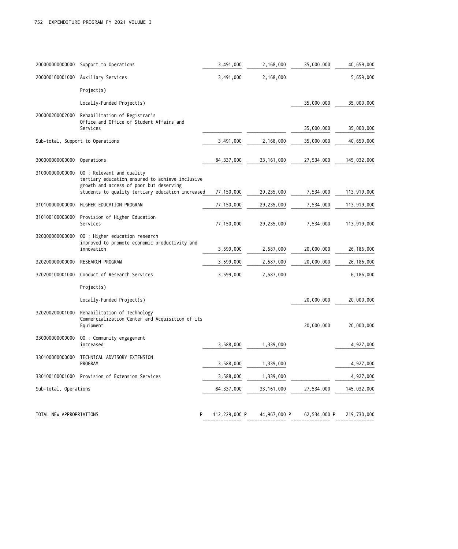| 20000000000000           | Support to Operations                                                                         | 3,491,000                    | 2,168,000               | 35,000,000   | 40,659,000   |
|--------------------------|-----------------------------------------------------------------------------------------------|------------------------------|-------------------------|--------------|--------------|
| 200000100001000          | Auxiliary Services                                                                            | 3,491,000                    | 2,168,000               |              | 5,659,000    |
|                          | Project(s)                                                                                    |                              |                         |              |              |
|                          | Locally-Funded Project(s)                                                                     |                              |                         | 35,000,000   | 35,000,000   |
| 200000200002000          | Rehabilitation of Registrar's<br>Office and Office of Student Affairs and                     |                              |                         |              |              |
|                          | Services                                                                                      |                              |                         | 35,000,000   | 35,000,000   |
|                          | Sub-total, Support to Operations                                                              | 3,491,000                    | 2,168,000               | 35,000,000   | 40,659,000   |
| 30000000000000           | Operations                                                                                    | 84, 337, 000                 | 33, 161, 000            | 27,534,000   | 145,032,000  |
| 31000000000000           | 00 : Relevant and quality<br>tertiary education ensured to achieve inclusive                  |                              |                         |              |              |
|                          | growth and access of poor but deserving<br>students to quality tertiary education increased   | 77,150,000                   | 29,235,000              | 7,534,000    | 113,919,000  |
| 31010000000000           | HIGHER EDUCATION PROGRAM                                                                      | 77,150,000                   | 29,235,000              | 7,534,000    | 113,919,000  |
| 310100100003000          | Provision of Higher Education<br>Services                                                     | 77,150,000                   | 29,235,000              | 7,534,000    | 113,919,000  |
| 32000000000000           | 00 : Higher education research<br>improved to promote economic productivity and<br>innovation | 3,599,000                    | 2,587,000               | 20,000,000   | 26, 186, 000 |
| 32020000000000           | RESEARCH PROGRAM                                                                              | 3,599,000                    | 2,587,000               | 20,000,000   | 26, 186, 000 |
| 320200100001000          | Conduct of Research Services                                                                  | 3,599,000                    | 2,587,000               |              | 6,186,000    |
|                          | Project(s)                                                                                    |                              |                         |              |              |
|                          | Locally-Funded Project(s)                                                                     |                              |                         | 20,000,000   | 20,000,000   |
| 320200200001000          | Rehabilitation of Technology<br>Commercialization Center and Acquisition of its<br>Equipment  |                              |                         | 20,000,000   | 20,000,000   |
| 330000000000000          | 00 : Community engagement<br>increased                                                        | 3,588,000                    | 1,339,000               |              | 4,927,000    |
| 330100000000000          | TECHNICAL ADVISORY EXTENSION<br>PROGRAM                                                       | 3,588,000                    | 1,339,000               |              | 4,927,000    |
| 330100100001000          | Provision of Extension Services                                                               | 3,588,000                    | 1,339,000               |              | 4,927,000    |
| Sub-total, Operations    |                                                                                               | 84,337,000                   | 33, 161, 000            | 27,534,000   | 145,032,000  |
| TOTAL NEW APPROPRIATIONS | P                                                                                             | 112,229,000 P<br>=========== | 44,967,000 P<br>======= | 62,534,000 P | 219,730,000  |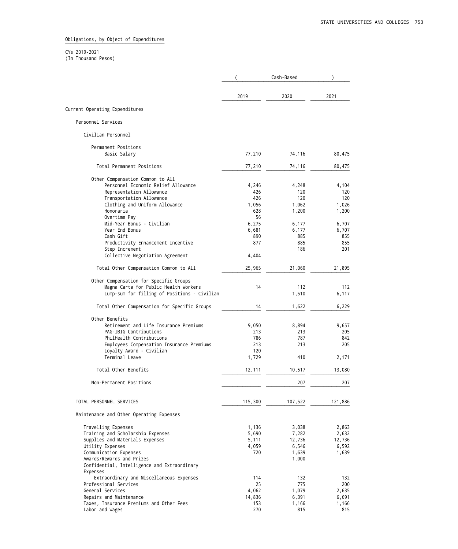Obligations, by Object of Expenditures

CYs 2019-2021

(In Thousand Pesos)

|                                              |         | Cash-Based |         |
|----------------------------------------------|---------|------------|---------|
|                                              | 2019    | 2020       | 2021    |
| Current Operating Expenditures               |         |            |         |
| Personnel Services                           |         |            |         |
| Civilian Personnel                           |         |            |         |
| Permanent Positions                          |         |            |         |
| Basic Salary                                 | 77,210  | 74,116     | 80,475  |
| Total Permanent Positions                    | 77,210  | 74,116     | 80,475  |
| Other Compensation Common to All             |         |            |         |
| Personnel Economic Relief Allowance          | 4,246   | 4,248      | 4,104   |
| Representation Allowance                     | 426     | 120        | 120     |
| Transportation Allowance                     | 426     | 120        | 120     |
| Clothing and Uniform Allowance               | 1,056   | 1,062      | 1,026   |
| Honoraria                                    | 628     | 1,200      | 1,200   |
| Overtime Pay                                 | 56      |            |         |
| Mid-Year Bonus - Civilian                    | 6,275   | 6,177      | 6,707   |
| Year End Bonus                               | 6,681   | 6,177      | 6,707   |
| Cash Gift                                    | 890     | 885        | 855     |
| Productivity Enhancement Incentive           | 877     | 885        | 855     |
| Step Increment                               |         | 186        | 201     |
| Collective Negotiation Agreement             | 4,404   |            |         |
| Total Other Compensation Common to All       | 25,965  | 21,060     | 21,895  |
| Other Compensation for Specific Groups       |         |            |         |
| Magna Carta for Public Health Workers        | 14      | 112        | 112     |
| Lump-sum for filling of Positions - Civilian |         | 1,510      | 6,117   |
|                                              |         |            |         |
| Total Other Compensation for Specific Groups | 14      | 1,622      | 6,229   |
| Other Benefits                               |         |            |         |
| Retirement and Life Insurance Premiums       | 9,050   | 8,894      | 9,657   |
| PAG-IBIG Contributions                       | 213     | 213        | 205     |
| PhilHealth Contributions                     | 786     | 787        | 842     |
| Employees Compensation Insurance Premiums    | 213     | 213        | 205     |
| Loyalty Award - Civilian                     | 120     |            |         |
| Terminal Leave                               | 1,729   | 410        | 2,171   |
|                                              |         |            |         |
| Total Other Benefits                         | 12,111  | 10,517     | 13,080  |
| Non-Permanent Positions                      |         | 207        | 207     |
|                                              |         |            |         |
| TOTAL PERSONNEL SERVICES                     | 115,300 | 107,522    | 121,886 |
| Maintenance and Other Operating Expenses     |         |            |         |
| Travelling Expenses                          | 1,136   | 3,038      | 2,863   |
| Training and Scholarship Expenses            | 5,690   | 7,282      | 2,632   |
| Supplies and Materials Expenses              | 5,111   | 12,736     | 12,736  |
| Utility Expenses                             | 4,059   | 6,546      | 6,592   |
| Communication Expenses                       | 720     | 1,639      | 1,639   |
| Awards/Rewards and Prizes                    |         | 1,000      |         |
| Confidential, Intelligence and Extraordinary |         |            |         |
| Expenses                                     |         |            |         |
| Extraordinary and Miscellaneous Expenses     | 114     | 132        | 132     |
| Professional Services                        | 25      | 775        | 200     |
| General Services                             | 4,062   | 1,079      | 2,635   |
| Repairs and Maintenance                      | 14,836  | 6,391      | 6,691   |
| Taxes, Insurance Premiums and Other Fees     | 153     | 1,166      | 1,166   |
| Labor and Wages                              | 270     | 815        | 815     |
|                                              |         |            |         |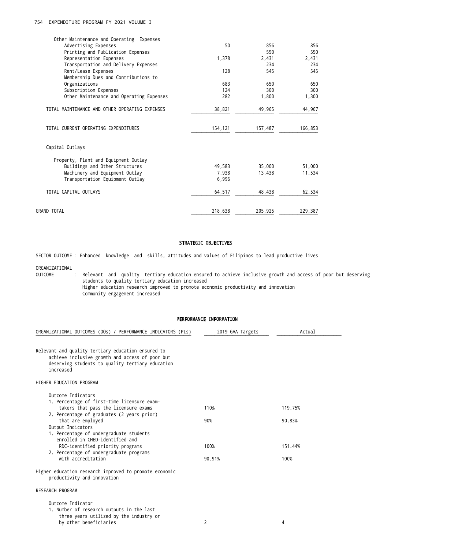## 754 EXPENDITURE PROGRAM FY 2021 VOLUME I 754 EXPENDITURE PROGRAM FY 2021 VOLUME I

| Other Maintenance and Operating Expenses       |         |         |         |
|------------------------------------------------|---------|---------|---------|
| Advertising Expenses                           | 50      | 856     | 856     |
| Printing and Publication Expenses              |         | 550     | 550     |
| Representation Expenses                        | 1,378   | 2,431   | 2,431   |
| Transportation and Delivery Expenses           |         | 234     | 234     |
| Rent/Lease Expenses                            | 128     | 545     | 545     |
| Membership Dues and Contributions to           |         |         |         |
| Organizations                                  | 683     | 650     | 650     |
| Subscription Expenses                          | 124     | 300     | 300     |
| Other Maintenance and Operating Expenses       | 282     | 1,800   | 1,300   |
| TOTAL MAINTENANCE AND OTHER OPERATING EXPENSES | 38,821  | 49,965  | 44,967  |
| TOTAL CURRENT OPERATING EXPENDITURES           | 154,121 | 157,487 | 166,853 |
| Capital Outlays                                |         |         |         |
| Property, Plant and Equipment Outlay           |         |         |         |
| Buildings and Other Structures                 | 49.583  | 35,000  | 51,000  |
| Machinery and Equipment Outlay                 | 7,938   | 13,438  | 11,534  |
| Transportation Equipment Outlay                | 6,996   |         |         |
| TOTAL CAPITAL OUTLAYS                          | 64,517  | 48,438  | 62,534  |
| <b>GRAND TOTAL</b>                             | 218,638 | 205,925 | 229,387 |

## STRATEGIC OBJECTIVES

SECTOR OUTCOME : Enhanced knowledge and skills, attitudes and values of Filipinos to lead productive lives

ORGANIZATIONAL

OUTCOME : Relevant and quality tertiary education ensured to achieve inclusive growth and access of poor but deserving students to quality tertiary education increased Higher education research improved to promote economic productivity and innovation Community engagement increased

### PERFORMANCE INFORMATION

| ORGANIZATIONAL OUTCOMES (OOs) / PERFORMANCE INDICATORS (PIs)                                                                                                           | 2019 GAA Targets | Actual  |
|------------------------------------------------------------------------------------------------------------------------------------------------------------------------|------------------|---------|
| Relevant and quality tertiary education ensured to<br>achieve inclusive growth and access of poor but<br>deserving students to quality tertiary education<br>increased |                  |         |
| HIGHER EDUCATION PROGRAM                                                                                                                                               |                  |         |
| Outcome Indicators<br>1. Percentage of first-time licensure exam-                                                                                                      |                  |         |
| takers that pass the licensure exams<br>2. Percentage of graduates (2 years prior)                                                                                     | 110%             | 119.75% |
| that are employed<br>Output Indicators                                                                                                                                 | 90%              | 90.83%  |
| 1. Percentage of undergraduate students<br>enrolled in CHED-identified and<br>RDC-identified priority programs                                                         | 100%             | 151.44% |
| 2. Percentage of undergraduate programs<br>with accreditation                                                                                                          | 90.91%           | 100%    |
| Higher education research improved to promote economic<br>productivity and innovation                                                                                  |                  |         |
| RESEARCH PROGRAM                                                                                                                                                       |                  |         |
| Outcome Indicator<br>1. Number of research outputs in the last<br>three years utilized by the industry or<br>by other beneficiaries                                    | 2                | 4       |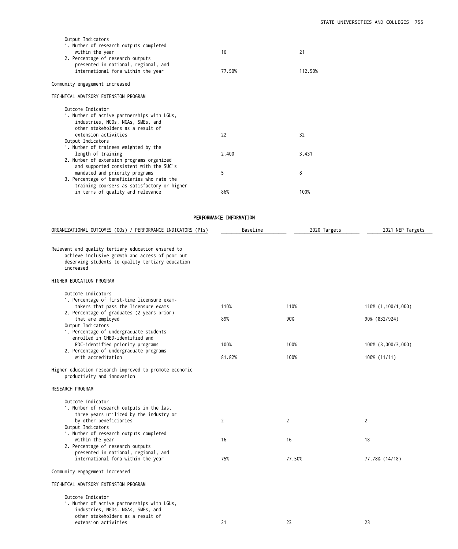| Output Indicators<br>1. Number of research outputs completed<br>within the year<br>2. Percentage of research outputs<br>presented in national, regional, and<br>international fora within the year | 16<br>77.50%            | 21<br>112.50% |                                     |
|----------------------------------------------------------------------------------------------------------------------------------------------------------------------------------------------------|-------------------------|---------------|-------------------------------------|
| Community engagement increased                                                                                                                                                                     |                         |               |                                     |
| TECHNICAL ADVISORY EXTENSION PROGRAM                                                                                                                                                               |                         |               |                                     |
| Outcome Indicator<br>1. Number of active partnerships with LGUs,<br>industries, NGOs, NGAs, SMEs, and<br>other stakeholders as a result of<br>extension activities<br>Output Indicators            | 22                      | 32            |                                     |
| 1. Number of trainees weighted by the<br>length of training<br>2. Number of extension programs organized                                                                                           | 2,400                   | 3,431         |                                     |
| and supported consistent with the SUC's<br>mandated and priority programs<br>3. Percentage of beneficiaries who rate the                                                                           | 5                       | 8             |                                     |
| training course/s as satisfactory or higher<br>in terms of quality and relevance                                                                                                                   | 86%                     | 100%          |                                     |
|                                                                                                                                                                                                    | PERFORMANCE INFORMATION |               |                                     |
| ORGANIZATIONAL OUTCOMES (OOs) / PERFORMANCE INDICATORS (PIs)                                                                                                                                       | Baseline                | 2020 Targets  | 2021 NEP Targets                    |
|                                                                                                                                                                                                    |                         |               |                                     |
| Relevant and quality tertiary education ensured to<br>achieve inclusive growth and access of poor but<br>deserving students to quality tertiary education<br>increased                             |                         |               |                                     |
| HIGHER EDUCATION PROGRAM                                                                                                                                                                           |                         |               |                                     |
| Outcome Indicators<br>1. Percentage of first-time licensure exam-<br>takers that pass the licensure exams<br>2. Percentage of graduates (2 years prior)<br>that are employed<br>Output Indicators  | 110%<br>89%             | 110%<br>90%   | 110% (1,100/1,000)<br>90% (832/924) |
| 1. Percentage of undergraduate students<br>enrolled in CHED-identified and<br>RDC-identified priority programs                                                                                     | 100%                    | 100%          | 100% (3,000/3,000)                  |
| 2. Percentage of undergraduate programs<br>with accreditation                                                                                                                                      | 81.82%                  | 100%          | 100% (11/11)                        |
| Higher education research improved to promote economic<br>productivity and innovation                                                                                                              |                         |               |                                     |
| RESEARCH PROGRAM                                                                                                                                                                                   |                         |               |                                     |
| Outcome Indicator<br>1. Number of research outputs in the last<br>three years utilized by the industry or<br>by other beneficiaries                                                                | $\overline{2}$          | $\mathbf{2}$  | 2                                   |
| Output Indicators<br>1. Number of research outputs completed<br>within the year                                                                                                                    | 16                      | 16            | 18                                  |
| 2. Percentage of research outputs<br>presented in national, regional, and<br>international fora within the year                                                                                    | 75%                     | 77.50%        | 77.78% (14/18)                      |
| Community engagement increased                                                                                                                                                                     |                         |               |                                     |
| TECHNICAL ADVISORY EXTENSION PROGRAM                                                                                                                                                               |                         |               |                                     |
| Outcome Indicator<br>1. Number of active partnerships with LGUs,<br>industries, NGOs, NGAs, SMEs, and<br>other stakeholders as a result of                                                         |                         |               |                                     |

extension activities 21 23 23